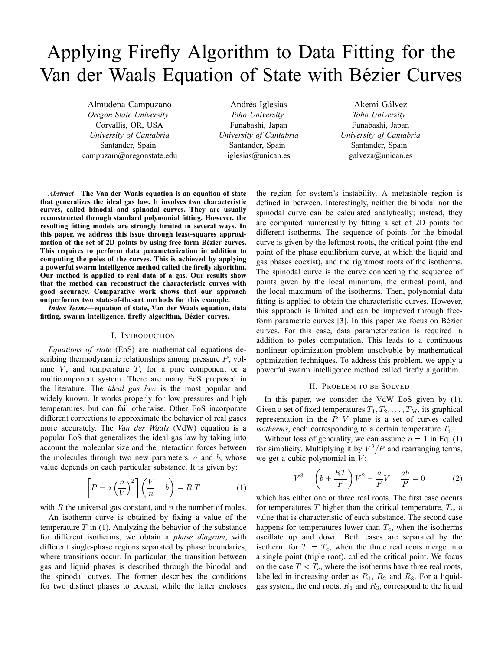# Applying Firefly Algorithm to Data Fitting for the Van der Waals Equation of State with Bézier Curves

Almudena Campuzano *Oregon State University* Corvallis, OR, USA *University of Cantabria* Santander, Spain campuzam@oregonstate.edu

Andrés Iglesias *Toho University* Funabashi, Japan *University of Cantabria* Santander, Spain iglesias@unican.es

Akemi Gálvez *Toho University* Funabashi, Japan *University of Cantabria* Santander, Spain galveza@unican.es

*Abstract***—The Van der Waals equation is an equation of state that generalizes the ideal gas law. It involves two characteristic curves, called binodal and spinodal curves. They are usually reconstructed through standard polynomial fitting. However, the resulting fitting models are strongly limited in several ways. In this paper, we address this issue through least-squares approximation of the set of 2D points by using free-form Bezier curves. ´ This requires to perform data parameterization in addition to computing the poles of the curves. This is achieved by applying a powerful swarm intelligence method called the firefly algorithm. Our method is applied to real data of a gas. Our results show that the method can reconstruct the characteristic curves with good accuracy. Comparative work shows that our approach outperforms two state-of-the-art methods for this example.**

*Index Terms***—equation of state, Van der Waals equation, data** fitting, swarm intelligence, firefly algorithm, Bézier curves.

# I. INTRODUCTION

*Equations of state* (EoS) are mathematical equations describing thermodynamic relationships among pressure P, volume  $V$ , and temperature  $T$ , for a pure component or a multicomponent system. There are many EoS proposed in the literature. The *ideal gas law* is the most popular and widely known. It works properly for low pressures and high temperatures, but can fail otherwise. Other EoS incorporate different corrections to approximate the behavior of real gases more accurately. The *Van der Waals* (VdW) equation is a popular EoS that generalizes the ideal gas law by taking into account the molecular size and the interaction forces between the molecules through two new parameters,  $a$  and  $b$ , whose value depends on each particular substance. It is given by:

$$
\left[P + a\left(\frac{n}{V}\right)^2\right] \left(\frac{V}{n} - b\right) = R.T \tag{1}
$$

with R the universal gas constant, and  $n$  the number of moles.

An isotherm curve is obtained by fixing a value of the temperature  $T$  in (1). Analyzing the behavior of the substance for different isotherms, we obtain a *phase diagram*, with different single-phase regions separated by phase boundaries, where transitions occur. In particular, the transition between gas and liquid phases is described through the binodal and the spinodal curves. The former describes the conditions for two distinct phases to coexist, while the latter encloses the region for system's instability. A metastable region is defined in between. Interestingly, neither the binodal nor the spinodal curve can be calculated analytically; instead, they are computed numerically by fitting a set of 2D points for different isotherms. The sequence of points for the binodal curve is given by the leftmost roots, the critical point (the end point of the phase equilibrium curve, at which the liquid and gas phases coexist), and the rightmost roots of the isotherms. The spinodal curve is the curve connecting the sequence of points given by the local minimum, the critical point, and the local maximum of the isotherms. Then, polynomial data fitting is applied to obtain the characteristic curves. However, this approach is limited and can be improved through freeform parametric curves [3]. In this paper we focus on Bézier curves. For this case, data parameterization is required in addition to poles computation. This leads to a continuous nonlinear optimization problem unsolvable by mathematical optimization techniques. To address this problem, we apply a powerful swarm intelligence method called firefly algorithm.

# II. PROBLEM TO BE SOLVED

In this paper, we consider the VdW EoS given by (1). Given a set of fixed temperatures  $T_1, T_2, \ldots, T_M$ , its graphical representation in the  $P-V$  plane is a set of curves called *isotherms*, each corresponding to a certain temperature  $T_i$ .

Without loss of generality, we can assume  $n = 1$  in Eq. (1) for simplicity. Multiplying it by  $V^2/P$  and rearranging terms, we get a cubic polynomial in  $V$ :

$$
V^3 - \left(b + \frac{RT}{P}\right)V^2 + \frac{a}{P}V - \frac{ab}{P} = 0\tag{2}
$$

which has either one or three real roots. The first case occurs for temperatures T higher than the critical temperature,  $T_c$ , a value that is characteristic of each substance. The second case happens for temperatures lower than  $T_c$ , when the isotherms oscillate up and down. Both cases are separated by the isotherm for  $T = T_c$ , when the three real roots merge into a single point (triple root), called the critical point. We focus on the case  $T < T_c$ , where the isotherms have three real roots, labelled in increasing order as  $R_1$ ,  $R_2$  and  $R_3$ . For a liquidgas system, the end roots,  $R_1$  and  $R_3$ , correspond to the liquid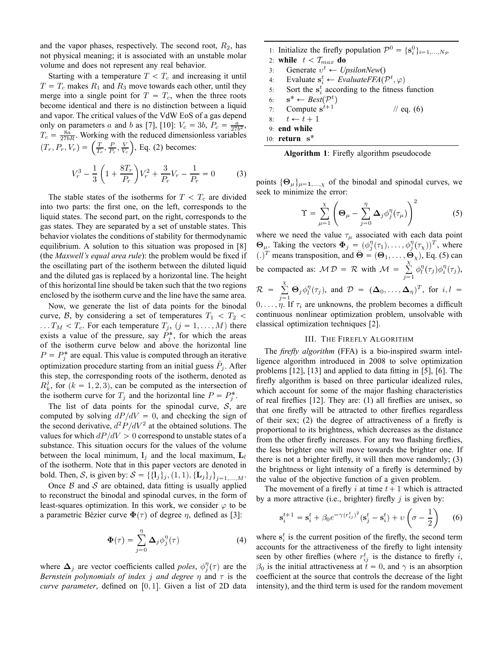and the vapor phases, respectively. The second root,  $R_2$ , has not physical meaning; it is associated with an unstable molar volume and does not represent any real behavior.

Starting with a temperature  $T < T_c$  and increasing it until  $T = T_c$  makes  $R_1$  and  $R_3$  move towards each other, until they merge into a single point for  $T = T_c$ , when the three roots become identical and there is no distinction between a liquid and vapor. The critical values of the VdW EoS of a gas depend only on parameters a and b as [7], [10]:  $V_c = 3b$ ,  $P_c = \frac{a}{27b^2}$ ,  $T_c = \frac{8a}{27bR}$ . Working with the reduced dimensionless variables  $(T_r, P_r, V_r) = \left(\frac{T}{T_c}, \frac{P}{P_c}, \frac{V}{V_c}\right)$  $\big)$ , Eq. (2) becomes:

$$
V_r^3 - \frac{1}{3} \left( 1 + \frac{8T_r}{P_r} \right) V_r^2 + \frac{3}{P_r} V_r - \frac{1}{P_r} = 0 \tag{3}
$$

The stable states of the isotherms for  $T < T_c$  are divided into two parts: the first one, on the left, corresponds to the liquid states. The second part, on the right, corresponds to the gas states. They are separated by a set of unstable states. This behavior violates the conditions of stability for thermodynamic equilibrium. A solution to this situation was proposed in [8] (the *Maxwell's equal area rule*): the problem would be fixed if the oscillating part of the isotherm between the diluted liquid and the diluted gas is replaced by a horizontal line. The height of this horizontal line should be taken such that the two regions enclosed by the isotherm curve and the line have the same area.

Now, we generate the list of data points for the binodal curve, B, by considering a set of temperatures  $T_1 < T_2 <$  $\ldots T_M < T_c$ . For each temperature  $T_j$ ,  $(j = 1, \ldots, M)$  there exists a value of the pressure, say  $P_j^*$ , for which the areas of the isotherm curve below and above the horizontal line  $P = P_j^*$  are equal. This value is computed through an iterative optimization procedure starting from an initial guess  $\tilde{P}_j$ . After this step, the corresponding roots of the isotherm, denoted as  $R_k^j$ , for  $(k = 1, 2, 3)$ , can be computed as the intersection of the isotherm curve for  $T_j$  and the horizontal line  $P = P_j^*$ .

The list of data points for the spinodal curve,  $S$ , are computed by solving  $dP/dV = 0$ , and checking the sign of the second derivative,  $d^2 P/dV^2$  at the obtained solutions. The values for which  $dP/dV > 0$  correspond to unstable states of a substance. This situation occurs for the values of the volume between the local minimum,  $l_j$  and the local maximum,  $L_l$ of the isotherm. Note that in this paper vectors are denoted in bold. Then, S, is given by:  $S = {\{\{1_j\}_j, (1, 1), {\{\mathbf{L}_j\}_j\}}_{j=1,...,M}}$ .

Once  $\beta$  and  $\beta$  are obtained, data fitting is usually applied to reconstruct the binodal and spinodal curves, in the form of least-squares optimization. In this work, we consider  $\varphi$  to be a parametric Bézier curve  $\Phi(\tau)$  of degree  $\eta$ , defined as [3]:

$$
\Phi(\tau) = \sum_{j=0}^{\eta} \Delta_j \phi_j^{\eta}(\tau)
$$
 (4)

where  $\Delta_j$  are vector coefficients called *poles*,  $\phi_j^{\eta}(\tau)$  are the *Bernstein polynomials of index j and degree*  $\eta$  and  $\tau$  is the *curve parameter*, defined on  $[0, 1]$ . Given a list of 2D data

| 1: Initialize the firefly population $\mathcal{P}^0 = \{s_i^0\}_{i=1,,N_{\mathcal{P}}}$ |  |  |  |  |
|-----------------------------------------------------------------------------------------|--|--|--|--|
| 2: while $t < T_{max}$ do                                                               |  |  |  |  |
| 3: Generate $v^t \leftarrow UpsilonNew()$                                               |  |  |  |  |
| 4: Evaluate $\mathbf{s}_i^t \leftarrow EvaluateFFA(\mathcal{P}^t, \varphi)$             |  |  |  |  |
| 5: Sort the $s_i^t$ according to the fitness function                                   |  |  |  |  |
| 6: $\mathbf{s}^* \leftarrow Best(\mathcal{P}^t)$                                        |  |  |  |  |
| 7: Compute $s^{t+1}$<br>// eq. $(6)$                                                    |  |  |  |  |
| 8: $t \leftarrow t + 1$                                                                 |  |  |  |  |
| 9: end while                                                                            |  |  |  |  |
| 10: $return s^*$                                                                        |  |  |  |  |

**Algorithm 1**: Firefly algorithm pseudocode

points  $\{\Theta_{\mu}\}_{{\mu}=1,...,\chi}$  of the binodal and spinodal curves, we seek to minimize the error:

$$
\Upsilon = \sum_{\mu=1}^{\chi} \left( \mathbf{\Theta}_{\mu} - \sum_{j=0}^{\eta} \mathbf{\Delta}_{j} \phi_{j}^{\eta}(\tau_{\mu}) \right)^{2} \tag{5}
$$

where we need the value  $\tau_{\mu}$  associated with each data point  $\Theta_{\mu}$ . Taking the vectors  $\Phi_j = (\phi_j^{\eta}(\tau_1), \dots, \phi_j^{\eta}(\tau_{\chi}))^T$ , where (i)<sup>T</sup> means transposition, and  $\vec{\Theta} = (\Theta_1, \dots, \Theta_\chi)$ , Eq. (5) can be compacted as:  $MD = \mathcal{R}$  with  $M = \sum_{n=1}^{X}$  $\sqrt{1}$  $\phi_l^{\eta}(\tau_j)\phi_i^{\eta}(\tau_j)$ ,  $\mathcal{R} = \sum_{i=1}^{X}$  $\sum_{j=1}^{N} \Theta_j \phi_l^{\eta}(\tau_j)$ , and  $\mathcal{D} = (\mathbf{\Delta}_0, \dots, \mathbf{\Delta}_{\eta})^T$ , for  $i, l =$  $0, \ldots, \eta$ . If  $\tau_i$  are unknowns, the problem becomes a difficult continuous nonlinear optimization problem, unsolvable with classical optimization techniques [2].

# III. THE FIREFLY ALGORITHM

The *firefly algorithm* (FFA) is a bio-inspired swarm intelligence algorithm introduced in 2008 to solve optimization problems [12], [13] and applied to data fitting in [5], [6]. The firefly algorithm is based on three particular idealized rules, which account for some of the major flashing characteristics of real fireflies [12]. They are: (1) all fireflies are unisex, so that one firefly will be attracted to other fireflies regardless of their sex; (2) the degree of attractiveness of a firefly is proportional to its brightness, which decreases as the distance from the other firefly increases. For any two flashing fireflies, the less brighter one will move towards the brighter one. If there is not a brighter firefly, it will then move randomly; (3) the brightness or light intensity of a firefly is determined by the value of the objective function of a given problem.

The movement of a firefly i at time  $t + 1$  which is attracted by a more attractive (i.e., brighter) firefly  $j$  is given by:

$$
\mathbf{s}_{i}^{t+1} = \mathbf{s}_{i}^{t} + \beta_{0} e^{-\gamma (r_{ij}^{t})^{2}} (\mathbf{s}_{j}^{t} - \mathbf{s}_{i}^{t}) + \upsilon \left(\sigma - \frac{1}{2}\right)
$$
 (6)

where  $s_i^t$  is the current position of the firefly, the second term accounts for the attractiveness of the firefly to light intensity seen by other fireflies (where  $r_{ij}^t$  is the distance to firefly i,  $\beta_0$  is the initial attractiveness at  $t = 0$ , and  $\gamma$  is an absorption coefficient at the source that controls the decrease of the light intensity), and the third term is used for the random movement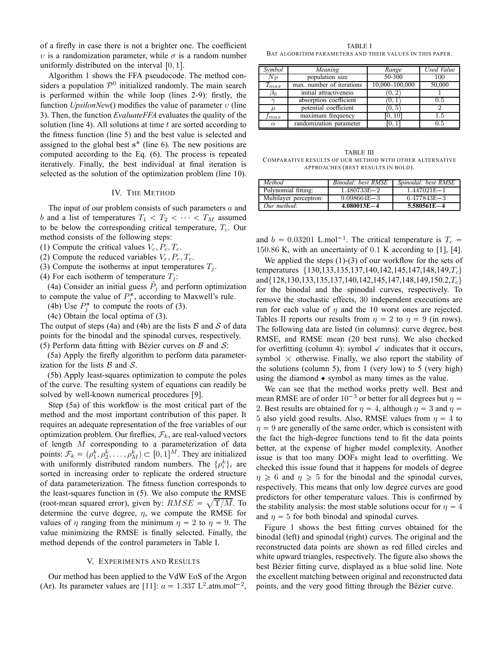of a firefly in case there is not a brighter one. The coefficient  $ν$  is a randomization parameter, while  $σ$  is a random number uniformly distributed on the interval  $[0, 1]$ .

Algorithm 1 shows the FFA pseudocode. The method considers a population  $\mathcal{P}^0$  initialized randomly. The main search is performed within the while loop (lines 2-9): firstly, the function *UpsilonNew*() modifies the value of parameter υ (line 3). Then, the function *EvaluateFFA* evaluates the quality of the solution (line 4). All solutions at time  $t$  are sorted according to the fitness function (line 5) and the best value is selected and assigned to the global best  $s^*$  (line 6). The new positions are computed according to the Eq. (6). The process is repeated iteratively. Finally, the best individual at final iteration is selected as the solution of the optimization problem (line 10).

# IV. THE METHOD

The input of our problem consists of such parameters  $a$  and b and a list of temperatures  $T_1 < T_2 < \cdots < T_M$  assumed to be below the corresponding critical temperature,  $T_c$ . Our method consists of the following steps:

(1) Compute the critical values  $V_c$ ,  $P_c$ ,  $T_c$ .

(2) Compute the reduced variables  $V_r$ ,  $P_r$ ,  $T_r$ .

(3) Compute the isotherms at input temperatures  $T_i$ .

(4) For each isotherm of temperature  $T_i$ :

(4a) Consider an initial guess  $\tilde{P}_j$  and perform optimization to compute the value of  $P_j^*$ , according to Maxwell's rule.

(4b) Use  $P_j^*$  to compute the roots of (3).

(4c) Obtain the local optima of (3).

The output of steps (4a) and (4b) are the lists  $\beta$  and  $\delta$  of data points for the binodal and the spinodal curves, respectively. (5) Perform data fitting with Bézier curves on  $\beta$  and  $\beta$ :

(5a) Apply the firefly algorithm to perform data parameterization for the lists  $\beta$  and  $\beta$ .

(5b) Apply least-squares optimization to compute the poles of the curve. The resulting system of equations can readily be solved by well-known numerical procedures [9].

Step (5a) of this workflow is the most critical part of the method and the most important contribution of this paper. It requires an adequate representation of the free variables of our optimization problem. Our fireflies,  $\mathcal{F}_k$ , are real-valued vectors of length M corresponding to a parameterization of data points:  $\mathcal{F}_k = (\rho_1^k, \rho_2^k, \dots, \rho_M^k) \subset [0, 1]^M$ . They are initialized with uniformly distributed random numbers. The  $\{\rho_i^k\}_i$  are sorted in increasing order to replicate the ordered structure of data parameterization. The fitness function corresponds to the least-squares function in (5). We also compute the RMSE (root-mean squared error), given by:  $RMSE = \sqrt{\Upsilon/M}$ . To determine the curve degree,  $\eta$ , we compute the RMSE for values of  $\eta$  ranging from the minimum  $\eta = 2$  to  $\eta = 9$ . The value minimizing the RMSE is finally selected. Finally, the method depends of the control parameters in Table I.

#### V. EXPERIMENTS AND RESULTS

Our method has been applied to the VdW EoS of the Argon (Ar). Its parameter values are [11]:  $a = 1.337 \text{ L}^2 \cdot \text{atm.mol}^{-2}$ ,

TABLE I BAT ALGORITHM PARAMETERS AND THEIR VALUES IN THIS PAPER.

| Symbol            | Meaning                   | Range          | Used Value |
|-------------------|---------------------------|----------------|------------|
| $N_{\mathcal{P}}$ | population size           | 50-300         | 100        |
| $T_{max}$         | max. number of iterations | 10,000-100,000 | 50,000     |
| $\beta_0$         | initial attractiveness    | (0, 2)         |            |
|                   | absorption coefficient    | U.I            | 0.5        |
| $\mu$             | potential coefficient     | [0,5]          |            |
| $_{\it{Imax}}$    | maximum frequency         | [0, 10]        | 1.5        |
| $\alpha$          | randomization parameter   |                | 0.5        |

TABLE III COMPARATIVE RESULTS OF OUR METHOD WITH OTHER ALTERNATIVE APPROACHES (BEST RESULTS IN BOLD).

| Method                 | Binodal: best RMSE | Spinodal: best RMSE |
|------------------------|--------------------|---------------------|
| Polynomial fitting:    | $1.480733E - 2$    | $1.447021E - 1$     |
| Multilayer perceptron: | $9.098664E - 3$    | $6.477843E - 3$     |
| Our method:            | $4.080013E - 4$    | $5.580561E - 4$     |

and  $b = 0.03201$  L.mol<sup>-1</sup>. The critical temperature is  $T_c =$ 150.86 K, with an uncertainty of 0.1 K according to [1], [4].

We applied the steps (1)-(3) of our workflow for the sets of temperatures {130,133,135,137,140,142,145,147,148,149,T<sub>c</sub>} and{128,130,133,135,137,140,142,145,147,148,149,150.2,Tc} for the binodal and the spinodal curves, respectively. To remove the stochastic effects, 30 independent executions are run for each value of  $\eta$  and the 10 worst ones are rejected. Tables II reports our results from  $\eta = 2$  to  $\eta = 9$  (in rows). The following data are listed (in columns): curve degree, best RMSE, and RMSE mean (20 best runs). We also checked for overfitting (column 4): symbol  $\checkmark$  indicates that it occurs, symbol  $\times$  otherwise. Finally, we also report the stability of the solutions (column 5), from 1 (very low) to 5 (very high) using the diamond  $\bullet$  symbol as many times as the value.

We can see that the method works pretty well. Best and mean RMSE are of order  $10^{-3}$  or better for all degrees but  $\eta =$ 2. Best results are obtained for  $\eta = 4$ , although  $\eta = 3$  and  $\eta = 1$ 5 also yield good results. Also, RMSE values from  $\eta = 4$  to  $\eta = 9$  are generally of the same order, which is consistent with the fact the high-degree functions tend to fit the data points better, at the expense of higher model complexity. Another issue is that too many DOFs might lead to overfitting. We checked this issue found that it happens for models of degree  $\eta \geq 6$  and  $\eta \geq 5$  for the binodal and the spinodal curves, respectively. This means that only low degree curves are good predictors for other temperature values. This is confirmed by the stability analysis: the most stable solutions occur for  $\eta = 4$ and  $\eta = 5$  for both binodal and spinodal curves.

Figure 1 shows the best fitting curves obtained for the binodal (left) and spinodal (right) curves. The original and the reconstructed data points are shown as red filled circles and white upward triangles, respectively. The figure also shows the best Bézier fitting curve, displayed as a blue solid line. Note the excellent matching between original and reconstructed data points, and the very good fitting through the Bézier curve.